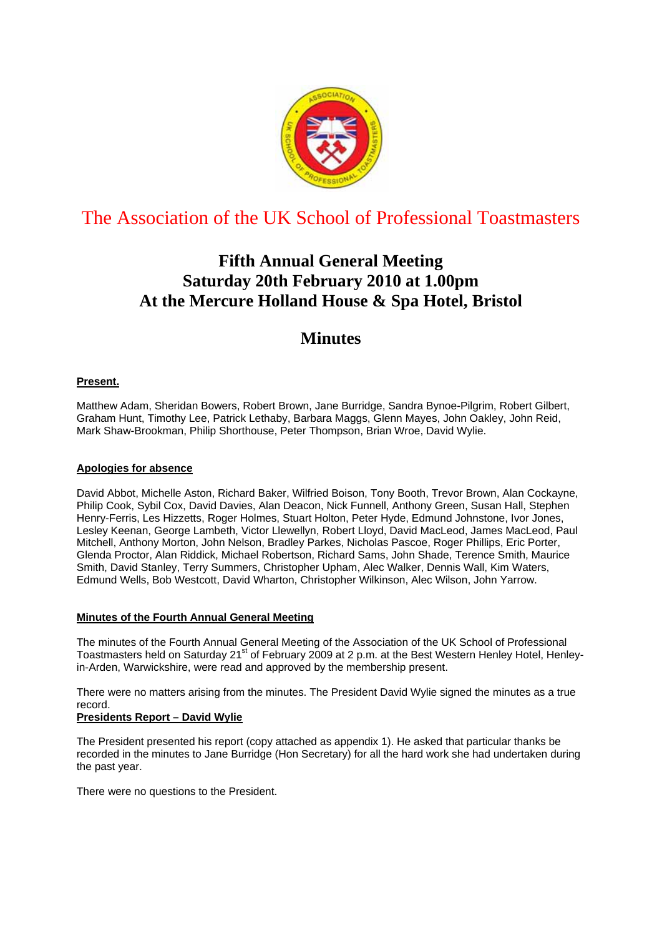

# The Association of the UK School of Professional Toastmasters

# **Fifth Annual General Meeting Saturday 20th February 2010 at 1.00pm At the Mercure Holland House & Spa Hotel, Bristol**

# **Minutes**

### **Present.**

Matthew Adam, Sheridan Bowers, Robert Brown, Jane Burridge, Sandra Bynoe-Pilgrim, Robert Gilbert, Graham Hunt, Timothy Lee, Patrick Lethaby, Barbara Maggs, Glenn Mayes, John Oakley, John Reid, Mark Shaw-Brookman, Philip Shorthouse, Peter Thompson, Brian Wroe, David Wylie.

### **Apologies for absence**

David Abbot, Michelle Aston, Richard Baker, Wilfried Boison, Tony Booth, Trevor Brown, Alan Cockayne, Philip Cook, Sybil Cox, David Davies, Alan Deacon, Nick Funnell, Anthony Green, Susan Hall, Stephen Henry-Ferris, Les Hizzetts, Roger Holmes, Stuart Holton, Peter Hyde, Edmund Johnstone, Ivor Jones, Lesley Keenan, George Lambeth, Victor Llewellyn, Robert Lloyd, David MacLeod, James MacLeod, Paul Mitchell, Anthony Morton, John Nelson, Bradley Parkes, Nicholas Pascoe, Roger Phillips, Eric Porter, Glenda Proctor, Alan Riddick, Michael Robertson, Richard Sams, John Shade, Terence Smith, Maurice Smith, David Stanley, Terry Summers, Christopher Upham, Alec Walker, Dennis Wall, Kim Waters, Edmund Wells, Bob Westcott, David Wharton, Christopher Wilkinson, Alec Wilson, John Yarrow.

### **Minutes of the Fourth Annual General Meeting**

The minutes of the Fourth Annual General Meeting of the Association of the UK School of Professional Toastmasters held on Saturday 21<sup>st</sup> of February 2009 at 2 p.m. at the Best Western Henley Hotel, Henleyin-Arden, Warwickshire, were read and approved by the membership present.

There were no matters arising from the minutes. The President David Wylie signed the minutes as a true record.

### **Presidents Report – David Wylie**

The President presented his report (copy attached as appendix 1). He asked that particular thanks be recorded in the minutes to Jane Burridge (Hon Secretary) for all the hard work she had undertaken during the past year.

There were no questions to the President.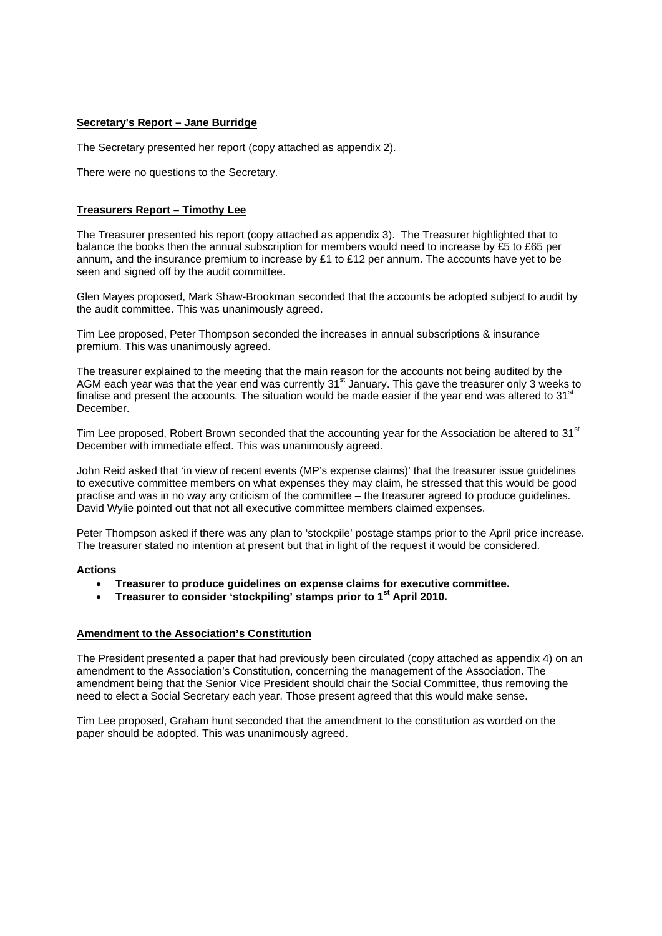### **Secretary's Report – Jane Burridge**

The Secretary presented her report (copy attached as appendix 2).

There were no questions to the Secretary.

### **Treasurers Report – Timothy Lee**

The Treasurer presented his report (copy attached as appendix 3). The Treasurer highlighted that to balance the books then the annual subscription for members would need to increase by £5 to £65 per annum, and the insurance premium to increase by £1 to £12 per annum. The accounts have yet to be seen and signed off by the audit committee.

Glen Mayes proposed, Mark Shaw-Brookman seconded that the accounts be adopted subject to audit by the audit committee. This was unanimously agreed.

Tim Lee proposed, Peter Thompson seconded the increases in annual subscriptions & insurance premium. This was unanimously agreed.

The treasurer explained to the meeting that the main reason for the accounts not being audited by the AGM each year was that the year end was currently 31<sup>st</sup> January. This gave the treasurer only 3 weeks to finalise and present the accounts. The situation would be made easier if the year end was altered to  $31<sup>st</sup>$ December.

Tim Lee proposed, Robert Brown seconded that the accounting year for the Association be altered to 31<sup>st</sup> December with immediate effect. This was unanimously agreed.

John Reid asked that 'in view of recent events (MP's expense claims)' that the treasurer issue guidelines to executive committee members on what expenses they may claim, he stressed that this would be good practise and was in no way any criticism of the committee – the treasurer agreed to produce guidelines. David Wylie pointed out that not all executive committee members claimed expenses.

Peter Thompson asked if there was any plan to 'stockpile' postage stamps prior to the April price increase. The treasurer stated no intention at present but that in light of the request it would be considered.

### **Actions**

- **Treasurer to produce guidelines on expense claims for executive committee.**
- **Treasurer to consider 'stockpiling' stamps prior to 1st April 2010.**

### **Amendment to the Association's Constitution**

The President presented a paper that had previously been circulated (copy attached as appendix 4) on an amendment to the Association's Constitution, concerning the management of the Association. The amendment being that the Senior Vice President should chair the Social Committee, thus removing the need to elect a Social Secretary each year. Those present agreed that this would make sense.

Tim Lee proposed, Graham hunt seconded that the amendment to the constitution as worded on the paper should be adopted. This was unanimously agreed.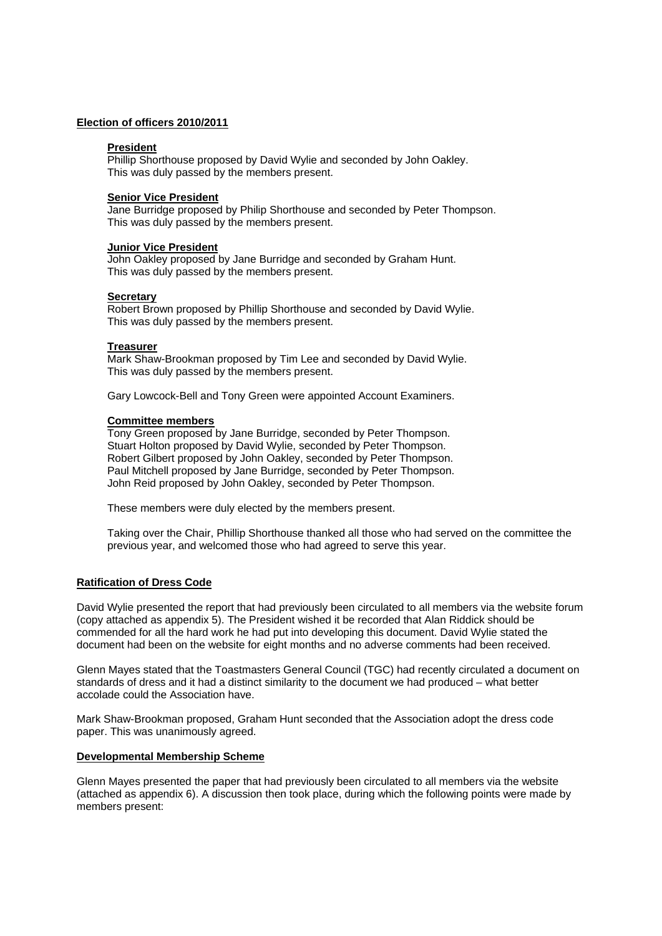### **Election of officers 2010/2011**

### **President**

Phillip Shorthouse proposed by David Wylie and seconded by John Oakley. This was duly passed by the members present.

### **Senior Vice President**

Jane Burridge proposed by Philip Shorthouse and seconded by Peter Thompson. This was duly passed by the members present.

### **Junior Vice President**

John Oakley proposed by Jane Burridge and seconded by Graham Hunt. This was duly passed by the members present.

### **Secretary**

Robert Brown proposed by Phillip Shorthouse and seconded by David Wylie. This was duly passed by the members present.

### **Treasurer**

Mark Shaw-Brookman proposed by Tim Lee and seconded by David Wylie. This was duly passed by the members present.

Gary Lowcock-Bell and Tony Green were appointed Account Examiners.

### **Committee members**

Tony Green proposed by Jane Burridge, seconded by Peter Thompson. Stuart Holton proposed by David Wylie, seconded by Peter Thompson. Robert Gilbert proposed by John Oakley, seconded by Peter Thompson. Paul Mitchell proposed by Jane Burridge, seconded by Peter Thompson. John Reid proposed by John Oakley, seconded by Peter Thompson.

These members were duly elected by the members present.

Taking over the Chair, Phillip Shorthouse thanked all those who had served on the committee the previous year, and welcomed those who had agreed to serve this year.

### **Ratification of Dress Code**

David Wylie presented the report that had previously been circulated to all members via the website forum (copy attached as appendix 5). The President wished it be recorded that Alan Riddick should be commended for all the hard work he had put into developing this document. David Wylie stated the document had been on the website for eight months and no adverse comments had been received.

Glenn Mayes stated that the Toastmasters General Council (TGC) had recently circulated a document on standards of dress and it had a distinct similarity to the document we had produced – what better accolade could the Association have.

Mark Shaw-Brookman proposed, Graham Hunt seconded that the Association adopt the dress code paper. This was unanimously agreed.

### **Developmental Membership Scheme**

Glenn Mayes presented the paper that had previously been circulated to all members via the website (attached as appendix 6). A discussion then took place, during which the following points were made by members present: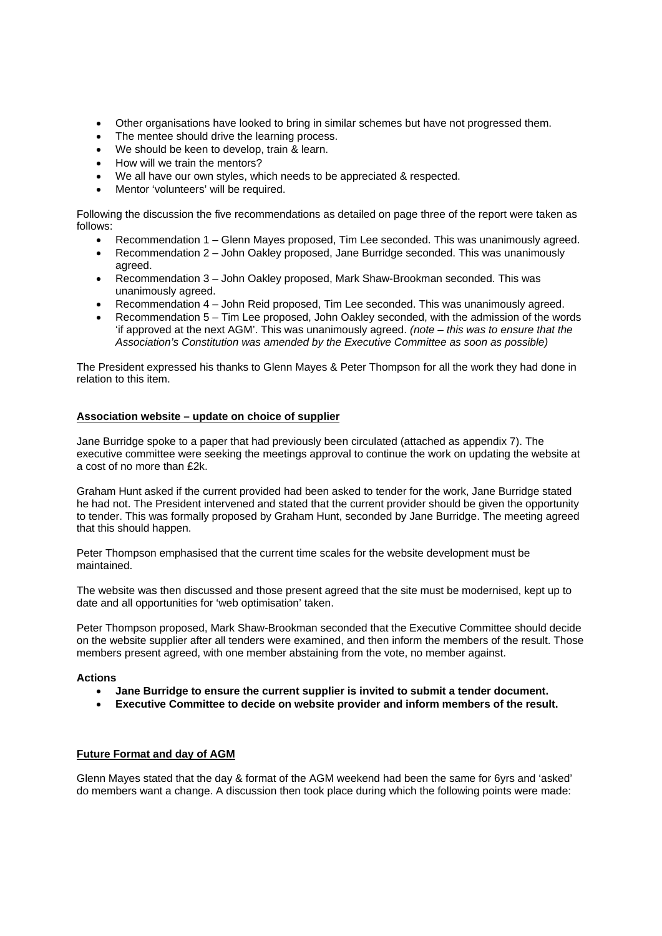- Other organisations have looked to bring in similar schemes but have not progressed them.
- The mentee should drive the learning process.
- We should be keen to develop, train & learn.
- How will we train the mentors?
- We all have our own styles, which needs to be appreciated & respected.
- Mentor 'volunteers' will be required.

Following the discussion the five recommendations as detailed on page three of the report were taken as follows:

- Recommendation 1 Glenn Mayes proposed, Tim Lee seconded. This was unanimously agreed.
- Recommendation 2 John Oakley proposed, Jane Burridge seconded. This was unanimously agreed.
- Recommendation 3 John Oakley proposed, Mark Shaw-Brookman seconded. This was unanimously agreed.
- Recommendation 4 John Reid proposed, Tim Lee seconded. This was unanimously agreed.
- Recommendation 5 Tim Lee proposed, John Oakley seconded, with the admission of the words 'if approved at the next AGM'. This was unanimously agreed. *(note – this was to ensure that the Association's Constitution was amended by the Executive Committee as soon as possible)*

The President expressed his thanks to Glenn Mayes & Peter Thompson for all the work they had done in relation to this item.

### **Association website – update on choice of supplier**

Jane Burridge spoke to a paper that had previously been circulated (attached as appendix 7). The executive committee were seeking the meetings approval to continue the work on updating the website at a cost of no more than £2k.

Graham Hunt asked if the current provided had been asked to tender for the work, Jane Burridge stated he had not. The President intervened and stated that the current provider should be given the opportunity to tender. This was formally proposed by Graham Hunt, seconded by Jane Burridge. The meeting agreed that this should happen.

Peter Thompson emphasised that the current time scales for the website development must be maintained.

The website was then discussed and those present agreed that the site must be modernised, kept up to date and all opportunities for 'web optimisation' taken.

Peter Thompson proposed, Mark Shaw-Brookman seconded that the Executive Committee should decide on the website supplier after all tenders were examined, and then inform the members of the result. Those members present agreed, with one member abstaining from the vote, no member against.

### **Actions**

- **Jane Burridge to ensure the current supplier is invited to submit a tender document.**
- **Executive Committee to decide on website provider and inform members of the result.**

### **Future Format and day of AGM**

Glenn Mayes stated that the day & format of the AGM weekend had been the same for 6yrs and 'asked' do members want a change. A discussion then took place during which the following points were made: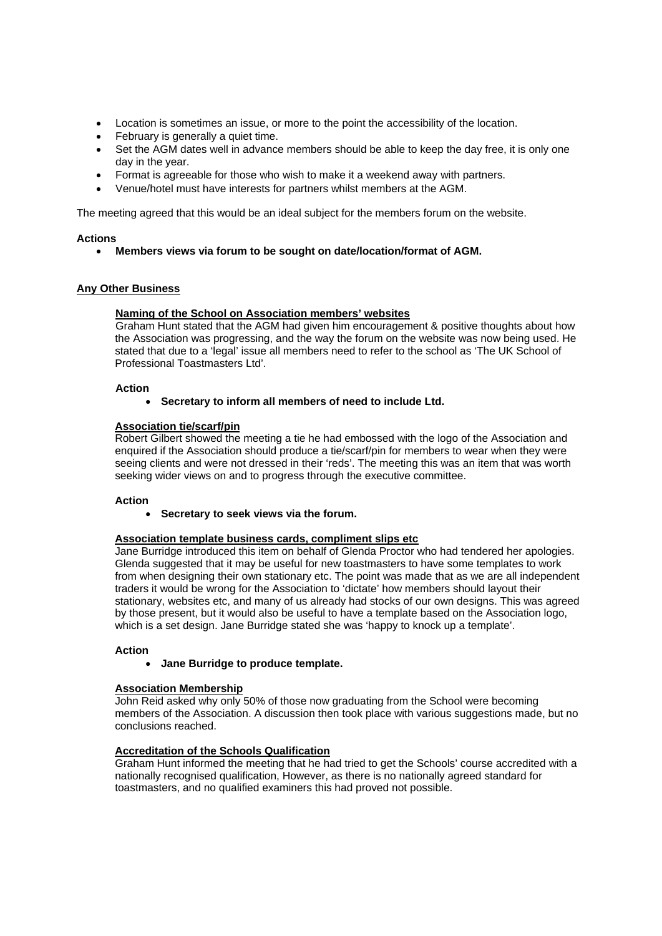- Location is sometimes an issue, or more to the point the accessibility of the location.
- February is generally a quiet time.
- Set the AGM dates well in advance members should be able to keep the day free, it is only one day in the year.
- Format is agreeable for those who wish to make it a weekend away with partners.
- Venue/hotel must have interests for partners whilst members at the AGM.

The meeting agreed that this would be an ideal subject for the members forum on the website.

### **Actions**

• **Members views via forum to be sought on date/location/format of AGM.** 

### **Any Other Business**

### **Naming of the School on Association members' websites**

Graham Hunt stated that the AGM had given him encouragement & positive thoughts about how the Association was progressing, and the way the forum on the website was now being used. He stated that due to a 'legal' issue all members need to refer to the school as 'The UK School of Professional Toastmasters Ltd'.

### **Action**

• **Secretary to inform all members of need to include Ltd.** 

### **Association tie/scarf/pin**

Robert Gilbert showed the meeting a tie he had embossed with the logo of the Association and enquired if the Association should produce a tie/scarf/pin for members to wear when they were seeing clients and were not dressed in their 'reds'. The meeting this was an item that was worth seeking wider views on and to progress through the executive committee.

### **Action**

• **Secretary to seek views via the forum.** 

### **Association template business cards, compliment slips etc**

Jane Burridge introduced this item on behalf of Glenda Proctor who had tendered her apologies. Glenda suggested that it may be useful for new toastmasters to have some templates to work from when designing their own stationary etc. The point was made that as we are all independent traders it would be wrong for the Association to 'dictate' how members should layout their stationary, websites etc, and many of us already had stocks of our own designs. This was agreed by those present, but it would also be useful to have a template based on the Association logo, which is a set design. Jane Burridge stated she was 'happy to knock up a template'.

### **Action**

• **Jane Burridge to produce template.** 

### **Association Membership**

John Reid asked why only 50% of those now graduating from the School were becoming members of the Association. A discussion then took place with various suggestions made, but no conclusions reached.

### **Accreditation of the Schools Qualification**

Graham Hunt informed the meeting that he had tried to get the Schools' course accredited with a nationally recognised qualification, However, as there is no nationally agreed standard for toastmasters, and no qualified examiners this had proved not possible.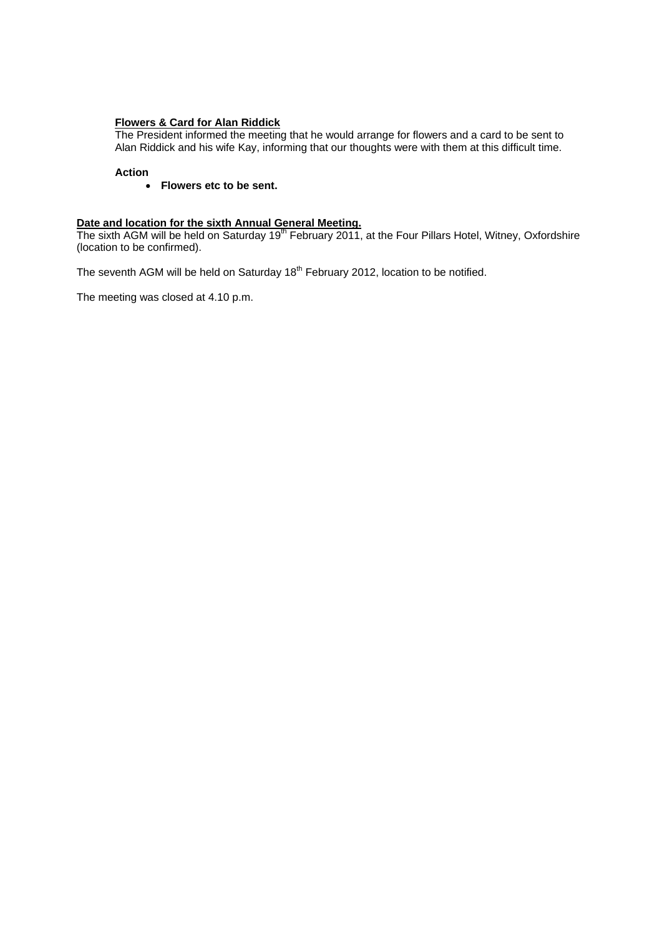### **Flowers & Card for Alan Riddick**

The President informed the meeting that he would arrange for flowers and a card to be sent to Alan Riddick and his wife Kay, informing that our thoughts were with them at this difficult time.

### **Action**

• **Flowers etc to be sent.** 

### **Date and location for the sixth Annual General Meeting.**

The sixth AGM will be held on Saturday 19<sup>th</sup> February 2011, at the Four Pillars Hotel, Witney, Oxfordshire (location to be confirmed).

The seventh AGM will be held on Saturday 18<sup>th</sup> February 2012, location to be notified.

The meeting was closed at 4.10 p.m.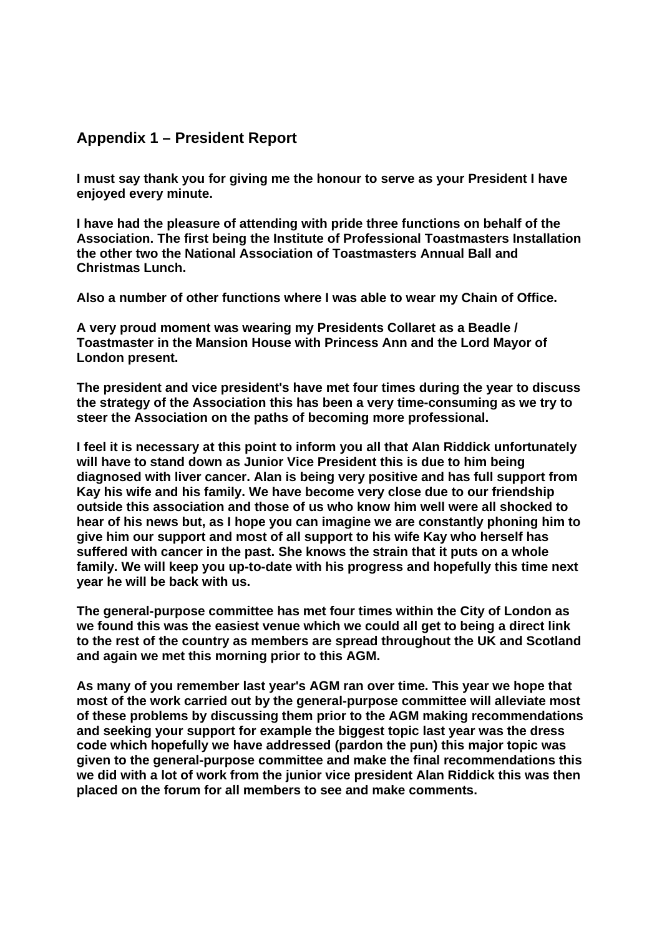## **Appendix 1 – President Report**

**I must say thank you for giving me the honour to serve as your President I have enjoyed every minute.** 

**I have had the pleasure of attending with pride three functions on behalf of the Association. The first being the Institute of Professional Toastmasters Installation the other two the National Association of Toastmasters Annual Ball and Christmas Lunch.** 

**Also a number of other functions where I was able to wear my Chain of Office.** 

**A very proud moment was wearing my Presidents Collaret as a Beadle / Toastmaster in the Mansion House with Princess Ann and the Lord Mayor of London present.** 

**The president and vice president's have met four times during the year to discuss the strategy of the Association this has been a very time-consuming as we try to steer the Association on the paths of becoming more professional.** 

**I feel it is necessary at this point to inform you all that Alan Riddick unfortunately will have to stand down as Junior Vice President this is due to him being diagnosed with liver cancer. Alan is being very positive and has full support from Kay his wife and his family. We have become very close due to our friendship outside this association and those of us who know him well were all shocked to hear of his news but, as I hope you can imagine we are constantly phoning him to give him our support and most of all support to his wife Kay who herself has suffered with cancer in the past. She knows the strain that it puts on a whole family. We will keep you up-to-date with his progress and hopefully this time next year he will be back with us.** 

**The general-purpose committee has met four times within the City of London as we found this was the easiest venue which we could all get to being a direct link to the rest of the country as members are spread throughout the UK and Scotland and again we met this morning prior to this AGM.** 

**As many of you remember last year's AGM ran over time. This year we hope that most of the work carried out by the general-purpose committee will alleviate most of these problems by discussing them prior to the AGM making recommendations and seeking your support for example the biggest topic last year was the dress code which hopefully we have addressed (pardon the pun) this major topic was given to the general-purpose committee and make the final recommendations this we did with a lot of work from the junior vice president Alan Riddick this was then placed on the forum for all members to see and make comments.**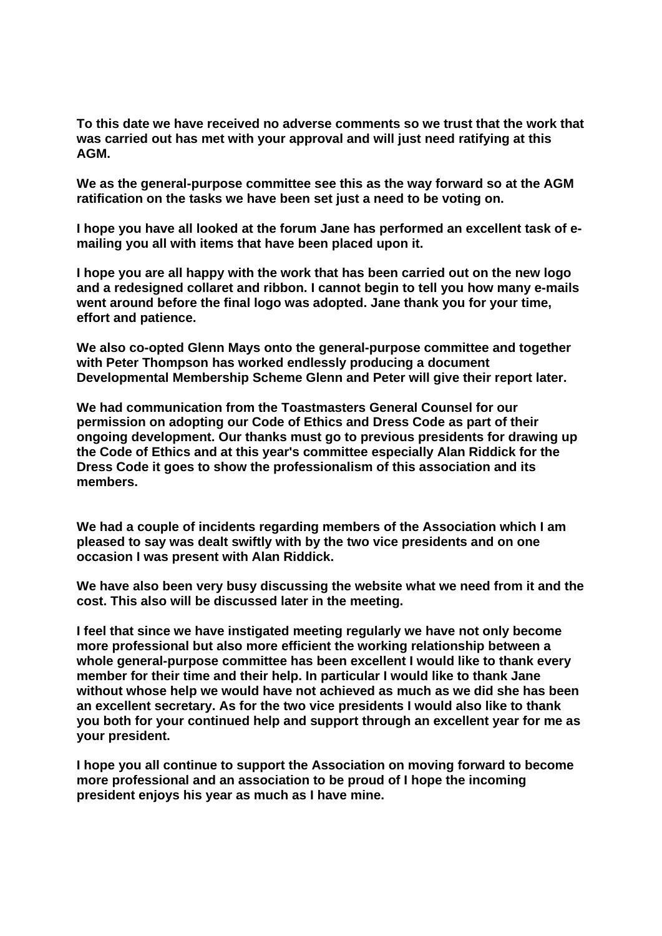**To this date we have received no adverse comments so we trust that the work that was carried out has met with your approval and will just need ratifying at this AGM.** 

**We as the general-purpose committee see this as the way forward so at the AGM ratification on the tasks we have been set just a need to be voting on.** 

**I hope you have all looked at the forum Jane has performed an excellent task of emailing you all with items that have been placed upon it.** 

**I hope you are all happy with the work that has been carried out on the new logo and a redesigned collaret and ribbon. I cannot begin to tell you how many e-mails went around before the final logo was adopted. Jane thank you for your time, effort and patience.** 

**We also co-opted Glenn Mays onto the general-purpose committee and together with Peter Thompson has worked endlessly producing a document Developmental Membership Scheme Glenn and Peter will give their report later.** 

**We had communication from the Toastmasters General Counsel for our permission on adopting our Code of Ethics and Dress Code as part of their ongoing development. Our thanks must go to previous presidents for drawing up the Code of Ethics and at this year's committee especially Alan Riddick for the Dress Code it goes to show the professionalism of this association and its members.** 

**We had a couple of incidents regarding members of the Association which I am pleased to say was dealt swiftly with by the two vice presidents and on one occasion I was present with Alan Riddick.** 

**We have also been very busy discussing the website what we need from it and the cost. This also will be discussed later in the meeting.** 

**I feel that since we have instigated meeting regularly we have not only become more professional but also more efficient the working relationship between a whole general-purpose committee has been excellent I would like to thank every member for their time and their help. In particular I would like to thank Jane without whose help we would have not achieved as much as we did she has been an excellent secretary. As for the two vice presidents I would also like to thank you both for your continued help and support through an excellent year for me as your president.** 

**I hope you all continue to support the Association on moving forward to become more professional and an association to be proud of I hope the incoming president enjoys his year as much as I have mine.**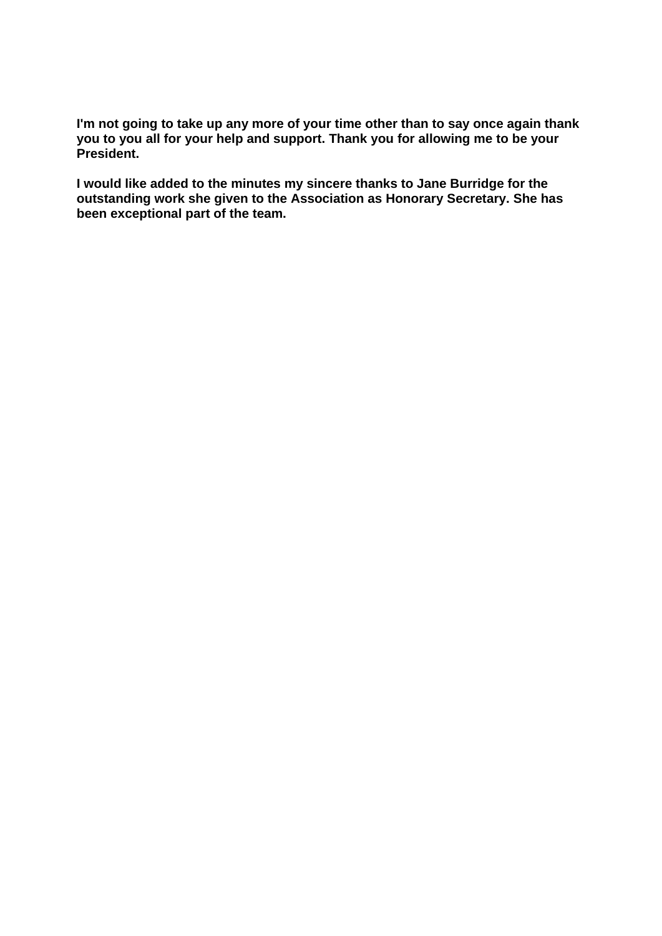**I'm not going to take up any more of your time other than to say once again thank you to you all for your help and support. Thank you for allowing me to be your President.** 

**I would like added to the minutes my sincere thanks to Jane Burridge for the outstanding work she given to the Association as Honorary Secretary. She has been exceptional part of the team.**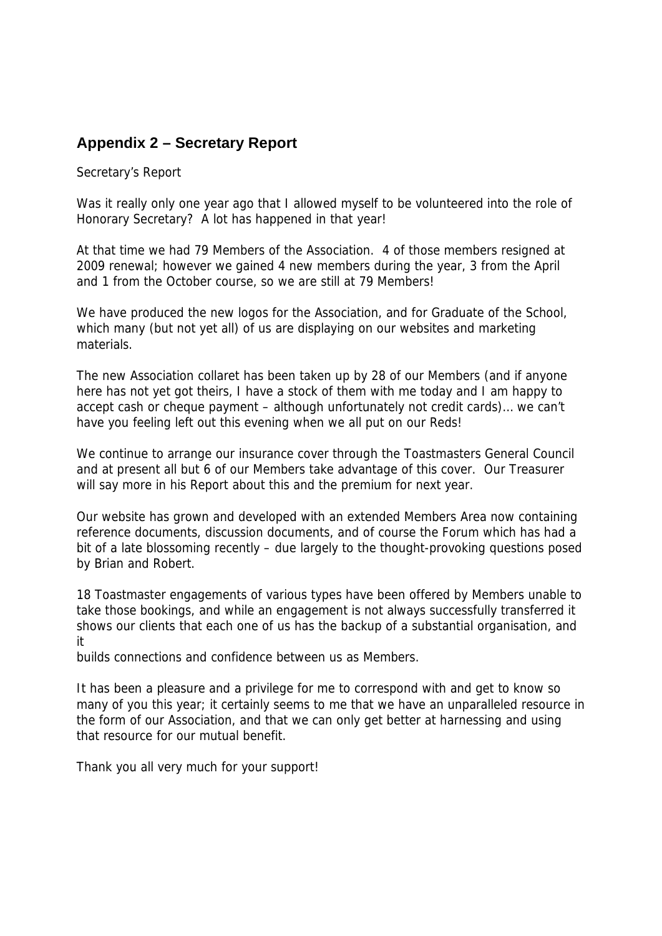# **Appendix 2 – Secretary Report**

Secretary's Report

Was it really only one year ago that I allowed myself to be volunteered into the role of Honorary Secretary? A lot has happened in that year!

At that time we had 79 Members of the Association. 4 of those members resigned at 2009 renewal; however we gained 4 new members during the year, 3 from the April and 1 from the October course, so we are still at 79 Members!

We have produced the new logos for the Association, and for Graduate of the School, which many (but not yet all) of us are displaying on our websites and marketing materials.

The new Association collaret has been taken up by 28 of our Members (and if anyone here has not yet got theirs, I have a stock of them with me today and I am happy to accept cash or cheque payment – although unfortunately not credit cards)… we can't have you feeling left out this evening when we all put on our Reds!

We continue to arrange our insurance cover through the Toastmasters General Council and at present all but 6 of our Members take advantage of this cover. Our Treasurer will say more in his Report about this and the premium for next year.

Our website has grown and developed with an extended Members Area now containing reference documents, discussion documents, and of course the Forum which has had a bit of a late blossoming recently – due largely to the thought-provoking questions posed by Brian and Robert.

18 Toastmaster engagements of various types have been offered by Members unable to take those bookings, and while an engagement is not always successfully transferred it shows our clients that each one of us has the backup of a substantial organisation, and it

builds connections and confidence between us as Members.

It has been a pleasure and a privilege for me to correspond with and get to know so many of you this year; it certainly seems to me that we have an unparalleled resource in the form of our Association, and that we can only get better at harnessing and using that resource for our mutual benefit.

Thank you all very much for your support!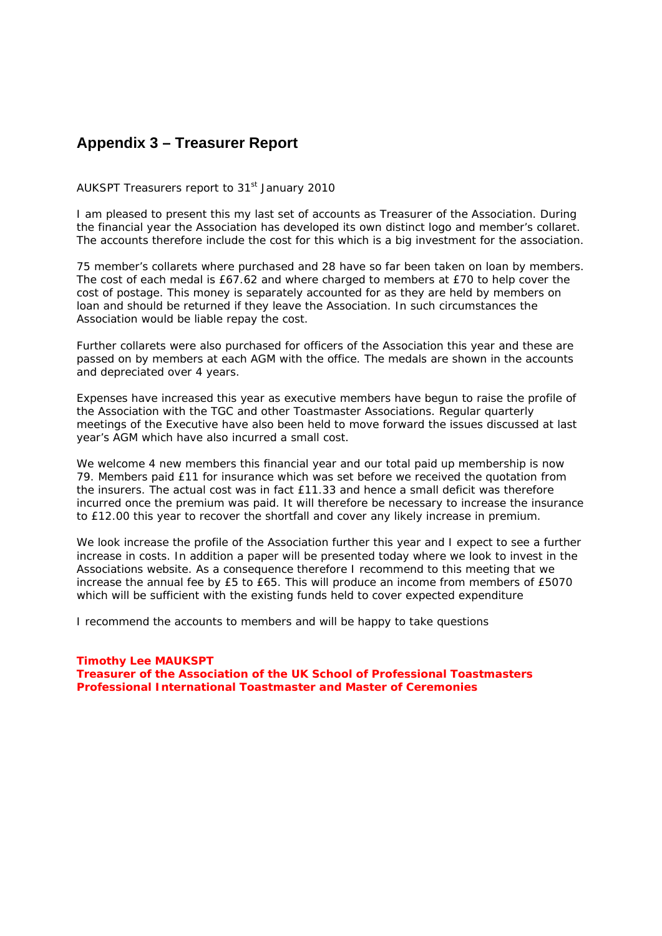## **Appendix 3 – Treasurer Report**

AUKSPT Treasurers report to 31<sup>st</sup> January 2010

I am pleased to present this my last set of accounts as Treasurer of the Association. During the financial year the Association has developed its own distinct logo and member's collaret. The accounts therefore include the cost for this which is a big investment for the association.

75 member's collarets where purchased and 28 have so far been taken on loan by members. The cost of each medal is £67.62 and where charged to members at £70 to help cover the cost of postage. This money is separately accounted for as they are held by members on loan and should be returned if they leave the Association. In such circumstances the Association would be liable repay the cost.

Further collarets were also purchased for officers of the Association this year and these are passed on by members at each AGM with the office. The medals are shown in the accounts and depreciated over 4 years.

Expenses have increased this year as executive members have begun to raise the profile of the Association with the TGC and other Toastmaster Associations. Regular quarterly meetings of the Executive have also been held to move forward the issues discussed at last year's AGM which have also incurred a small cost.

We welcome 4 new members this financial year and our total paid up membership is now 79. Members paid £11 for insurance which was set before we received the quotation from the insurers. The actual cost was in fact £11.33 and hence a small deficit was therefore incurred once the premium was paid. It will therefore be necessary to increase the insurance to £12.00 this year to recover the shortfall and cover any likely increase in premium.

We look increase the profile of the Association further this year and I expect to see a further increase in costs. In addition a paper will be presented today where we look to invest in the Associations website. As a consequence therefore I recommend to this meeting that we increase the annual fee by £5 to £65. This will produce an income from members of £5070 which will be sufficient with the existing funds held to cover expected expenditure

I recommend the accounts to members and will be happy to take questions

### **Timothy Lee MAUKSPT Treasurer of the Association of the UK School of Professional Toastmasters Professional International Toastmaster and Master of Ceremonies**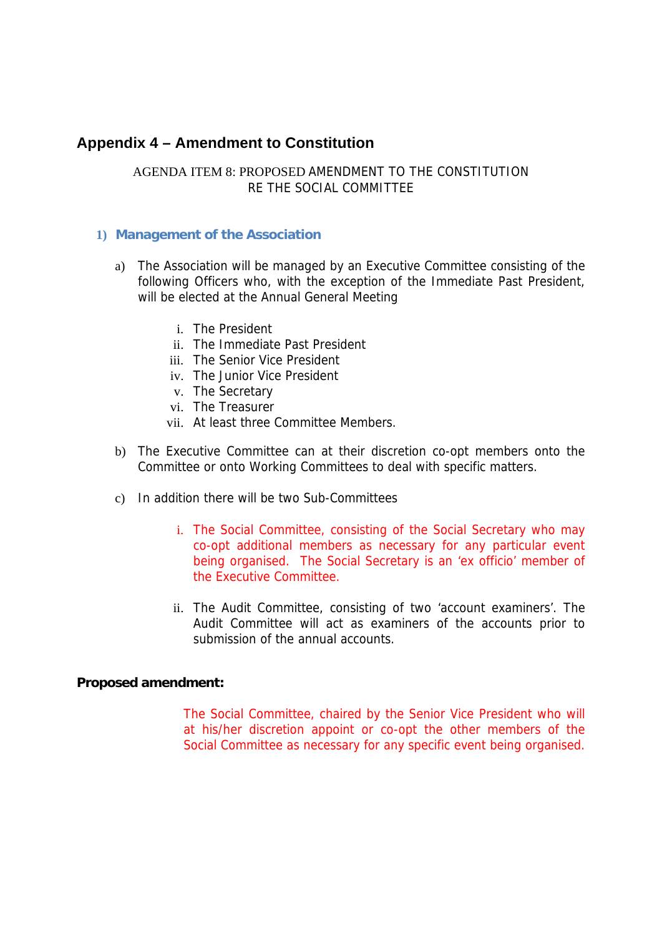## **Appendix 4 – Amendment to Constitution**

## AGENDA ITEM 8: PROPOSED AMENDMENT TO THE CONSTITUTION RE THE SOCIAL COMMITTEE

## **1) Management of the Association**

- a) The Association will be managed by an Executive Committee consisting of the following Officers who, with the exception of the Immediate Past President, will be elected at the Annual General Meeting
	- i. The President
	- ii. The Immediate Past President
	- iii. The Senior Vice President
	- iv. The Junior Vice President
	- v. The Secretary
	- vi. The Treasurer
	- vii. At least three Committee Members.
- b) The Executive Committee can at their discretion co-opt members onto the Committee or onto Working Committees to deal with specific matters.
- c) In addition there will be two Sub-Committees
	- i. The Social Committee, consisting of the Social Secretary who may co-opt additional members as necessary for any particular event being organised. The Social Secretary is an 'ex officio' member of the Executive Committee.
	- ii. The Audit Committee, consisting of two 'account examiners'. The Audit Committee will act as examiners of the accounts prior to submission of the annual accounts.

## **Proposed amendment:**

The Social Committee, chaired by the Senior Vice President who will at his/her discretion appoint or co-opt the other members of the Social Committee as necessary for any specific event being organised.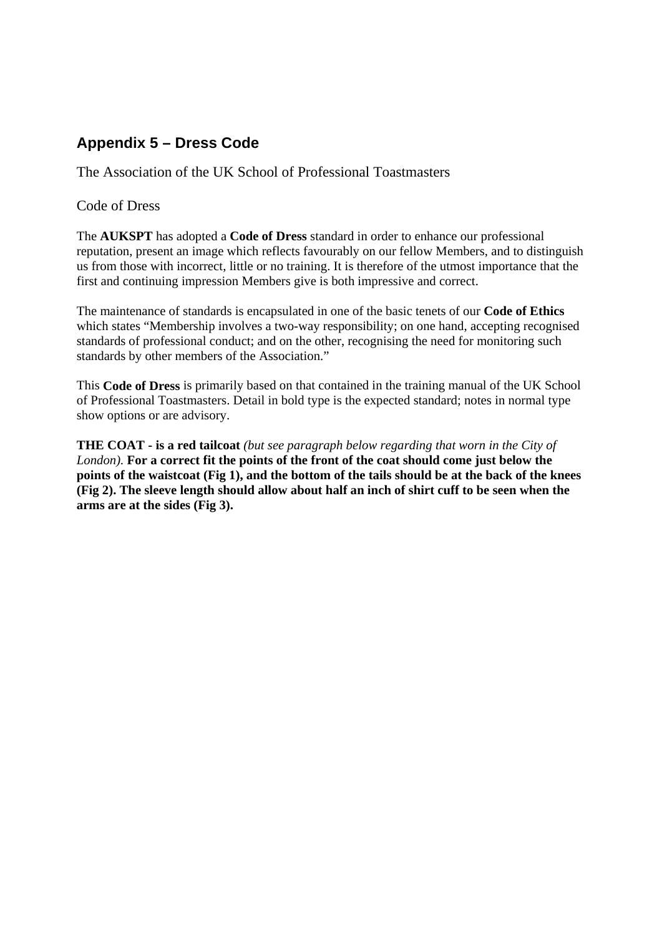# **Appendix 5 – Dress Code**

The Association of the UK School of Professional Toastmasters

## Code of Dress

The **AUKSPT** has adopted a **Code of Dress** standard in order to enhance our professional reputation, present an image which reflects favourably on our fellow Members, and to distinguish us from those with incorrect, little or no training. It is therefore of the utmost importance that the first and continuing impression Members give is both impressive and correct.

The maintenance of standards is encapsulated in one of the basic tenets of our **Code of Ethics** which states "Membership involves a two-way responsibility; on one hand, accepting recognised standards of professional conduct; and on the other, recognising the need for monitoring such standards by other members of the Association."

This **Code of Dress** is primarily based on that contained in the training manual of the UK School of Professional Toastmasters. Detail in bold type is the expected standard; notes in normal type show options or are advisory.

**THE COAT - is a red tailcoat** *(but see paragraph below regarding that worn in the City of London).* **For a correct fit the points of the front of the coat should come just below the points of the waistcoat (Fig 1), and the bottom of the tails should be at the back of the knees (Fig 2). The sleeve length should allow about half an inch of shirt cuff to be seen when the arms are at the sides (Fig 3).**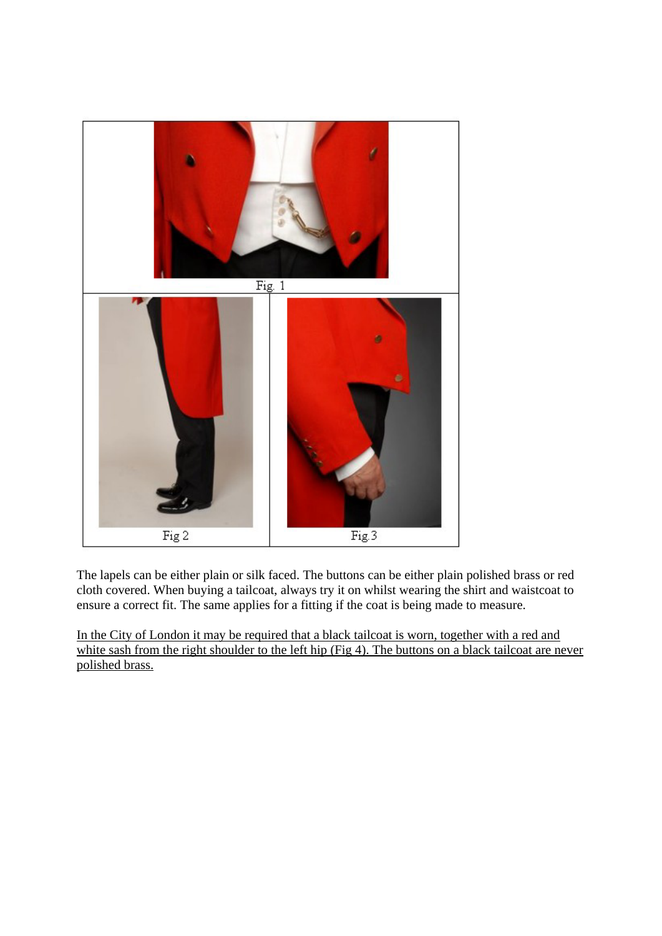

The lapels can be either plain or silk faced. The buttons can be either plain polished brass or red cloth covered. When buying a tailcoat, always try it on whilst wearing the shirt and waistcoat to ensure a correct fit. The same applies for a fitting if the coat is being made to measure.

In the City of London it may be required that a black tailcoat is worn, together with a red and white sash from the right shoulder to the left hip (Fig 4). The buttons on a black tailcoat are never polished brass.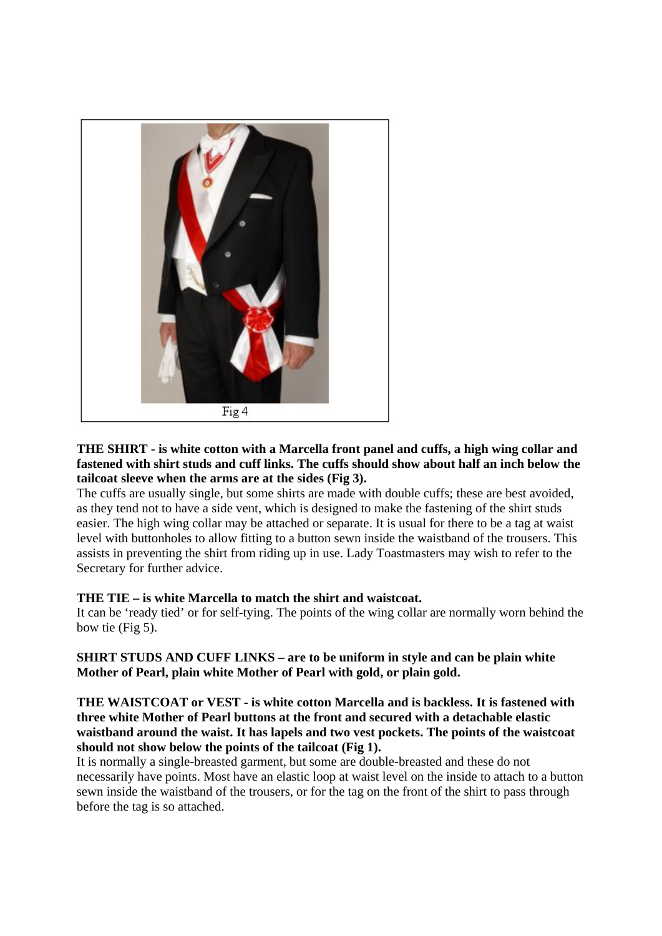

## **THE SHIRT - is white cotton with a Marcella front panel and cuffs, a high wing collar and fastened with shirt studs and cuff links. The cuffs should show about half an inch below the tailcoat sleeve when the arms are at the sides (Fig 3).**

The cuffs are usually single, but some shirts are made with double cuffs; these are best avoided, as they tend not to have a side vent, which is designed to make the fastening of the shirt studs easier. The high wing collar may be attached or separate. It is usual for there to be a tag at waist level with buttonholes to allow fitting to a button sewn inside the waistband of the trousers. This assists in preventing the shirt from riding up in use. Lady Toastmasters may wish to refer to the Secretary for further advice.

## **THE TIE – is white Marcella to match the shirt and waistcoat.**

It can be 'ready tied' or for self-tying. The points of the wing collar are normally worn behind the bow tie (Fig 5).

**SHIRT STUDS AND CUFF LINKS – are to be uniform in style and can be plain white Mother of Pearl, plain white Mother of Pearl with gold, or plain gold.**

## **THE WAISTCOAT or VEST - is white cotton Marcella and is backless. It is fastened with three white Mother of Pearl buttons at the front and secured with a detachable elastic waistband around the waist. It has lapels and two vest pockets. The points of the waistcoat should not show below the points of the tailcoat (Fig 1).**

It is normally a single-breasted garment, but some are double-breasted and these do not necessarily have points. Most have an elastic loop at waist level on the inside to attach to a button sewn inside the waistband of the trousers, or for the tag on the front of the shirt to pass through before the tag is so attached.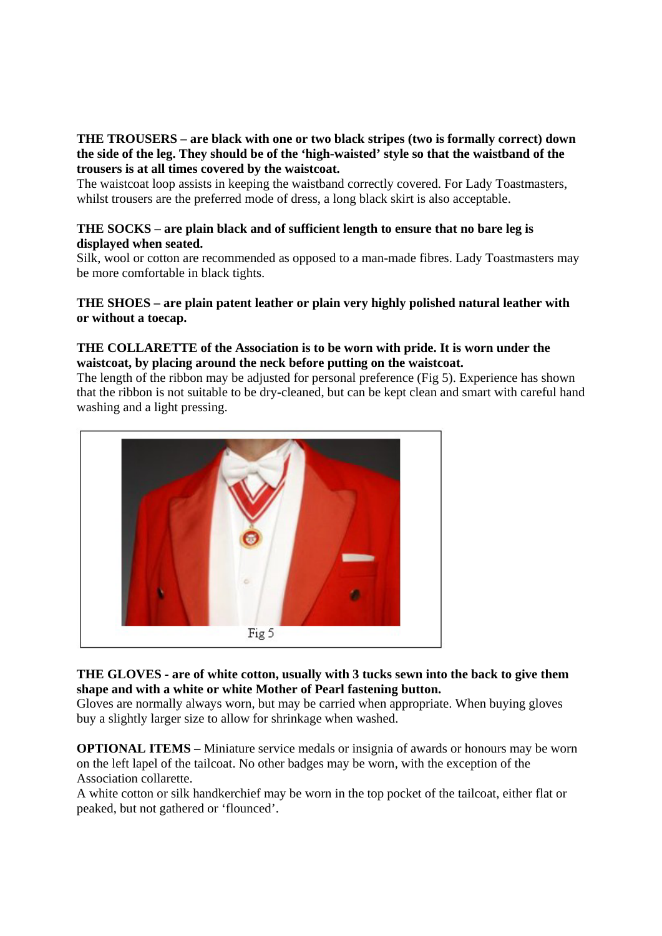## **THE TROUSERS – are black with one or two black stripes (two is formally correct) down the side of the leg. They should be of the 'high-waisted' style so that the waistband of the trousers is at all times covered by the waistcoat.**

The waistcoat loop assists in keeping the waistband correctly covered. For Lady Toastmasters, whilst trousers are the preferred mode of dress, a long black skirt is also acceptable.

## **THE SOCKS – are plain black and of sufficient length to ensure that no bare leg is displayed when seated.**

Silk, wool or cotton are recommended as opposed to a man-made fibres. Lady Toastmasters may be more comfortable in black tights.

## **THE SHOES – are plain patent leather or plain very highly polished natural leather with or without a toecap.**

## **THE COLLARETTE of the Association is to be worn with pride. It is worn under the waistcoat, by placing around the neck before putting on the waistcoat.**

The length of the ribbon may be adjusted for personal preference (Fig 5). Experience has shown that the ribbon is not suitable to be dry-cleaned, but can be kept clean and smart with careful hand washing and a light pressing.



## **THE GLOVES - are of white cotton, usually with 3 tucks sewn into the back to give them shape and with a white or white Mother of Pearl fastening button.**

Gloves are normally always worn, but may be carried when appropriate. When buying gloves buy a slightly larger size to allow for shrinkage when washed.

**OPTIONAL ITEMS –** Miniature service medals or insignia of awards or honours may be worn on the left lapel of the tailcoat. No other badges may be worn, with the exception of the Association collarette.

A white cotton or silk handkerchief may be worn in the top pocket of the tailcoat, either flat or peaked, but not gathered or 'flounced'.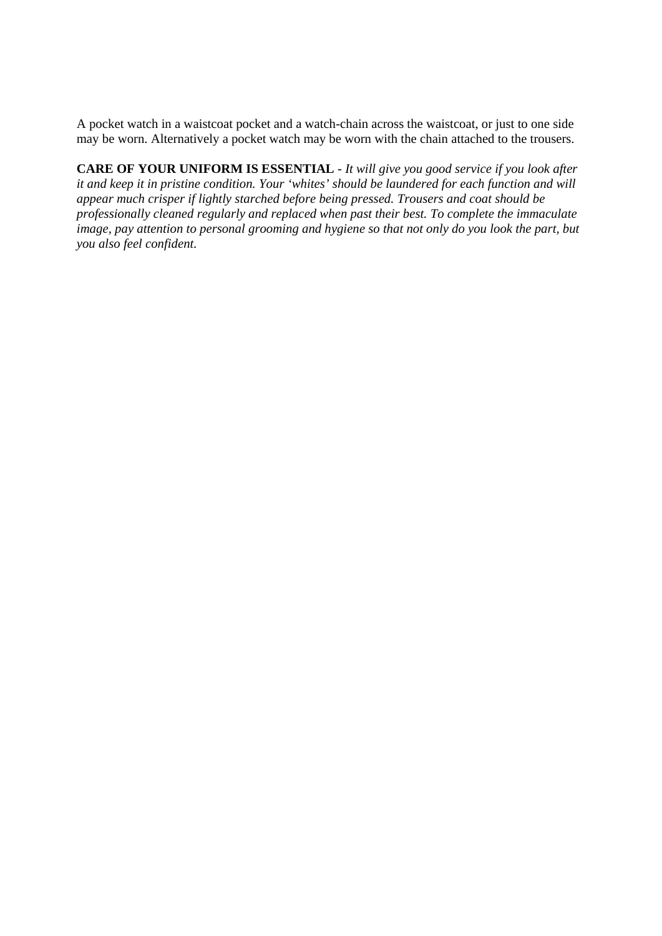A pocket watch in a waistcoat pocket and a watch-chain across the waistcoat, or just to one side may be worn. Alternatively a pocket watch may be worn with the chain attached to the trousers.

**CARE OF YOUR UNIFORM IS ESSENTIAL** - *It will give you good service if you look after it and keep it in pristine condition. Your 'whites' should be laundered for each function and will appear much crisper if lightly starched before being pressed. Trousers and coat should be professionally cleaned regularly and replaced when past their best. To complete the immaculate image, pay attention to personal grooming and hygiene so that not only do you look the part, but you also feel confident.*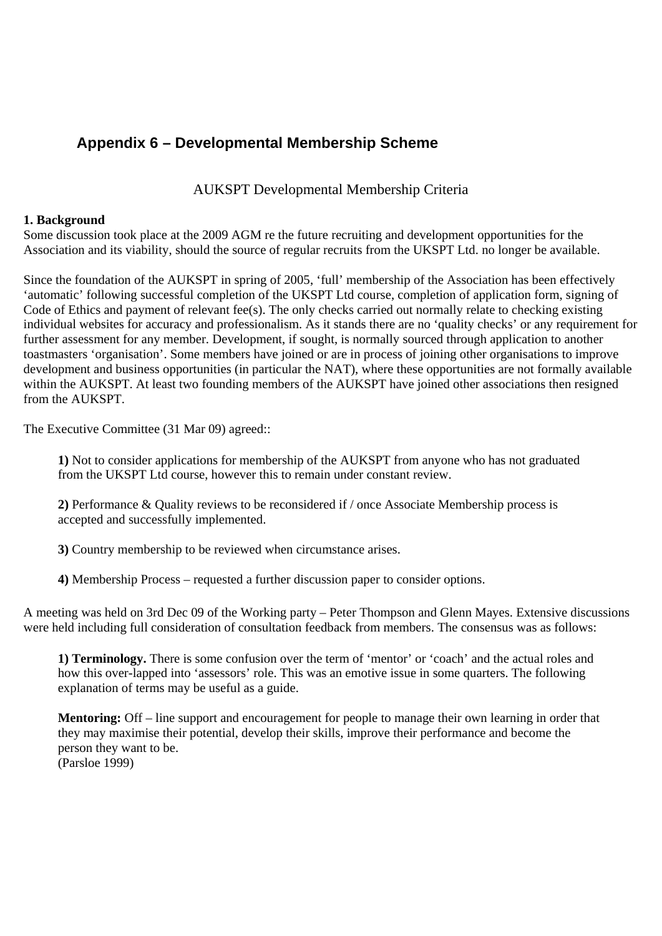# **Appendix 6 – Developmental Membership Scheme**

AUKSPT Developmental Membership Criteria

## **1. Background**

Some discussion took place at the 2009 AGM re the future recruiting and development opportunities for the Association and its viability, should the source of regular recruits from the UKSPT Ltd. no longer be available.

Since the foundation of the AUKSPT in spring of 2005, 'full' membership of the Association has been effectively 'automatic' following successful completion of the UKSPT Ltd course, completion of application form, signing of Code of Ethics and payment of relevant fee(s). The only checks carried out normally relate to checking existing individual websites for accuracy and professionalism. As it stands there are no 'quality checks' or any requirement for further assessment for any member. Development, if sought, is normally sourced through application to another toastmasters 'organisation'. Some members have joined or are in process of joining other organisations to improve development and business opportunities (in particular the NAT), where these opportunities are not formally available within the AUKSPT. At least two founding members of the AUKSPT have joined other associations then resigned from the AUKSPT.

The Executive Committee (31 Mar 09) agreed::

**1)** Not to consider applications for membership of the AUKSPT from anyone who has not graduated from the UKSPT Ltd course, however this to remain under constant review.

**2)** Performance & Quality reviews to be reconsidered if / once Associate Membership process is accepted and successfully implemented.

**3)** Country membership to be reviewed when circumstance arises.

**4)** Membership Process – requested a further discussion paper to consider options.

A meeting was held on 3rd Dec 09 of the Working party – Peter Thompson and Glenn Mayes. Extensive discussions were held including full consideration of consultation feedback from members. The consensus was as follows:

**1) Terminology.** There is some confusion over the term of 'mentor' or 'coach' and the actual roles and how this over-lapped into 'assessors' role. This was an emotive issue in some quarters. The following explanation of terms may be useful as a guide.

**Mentoring:** Off – line support and encouragement for people to manage their own learning in order that they may maximise their potential, develop their skills, improve their performance and become the person they want to be. (Parsloe 1999)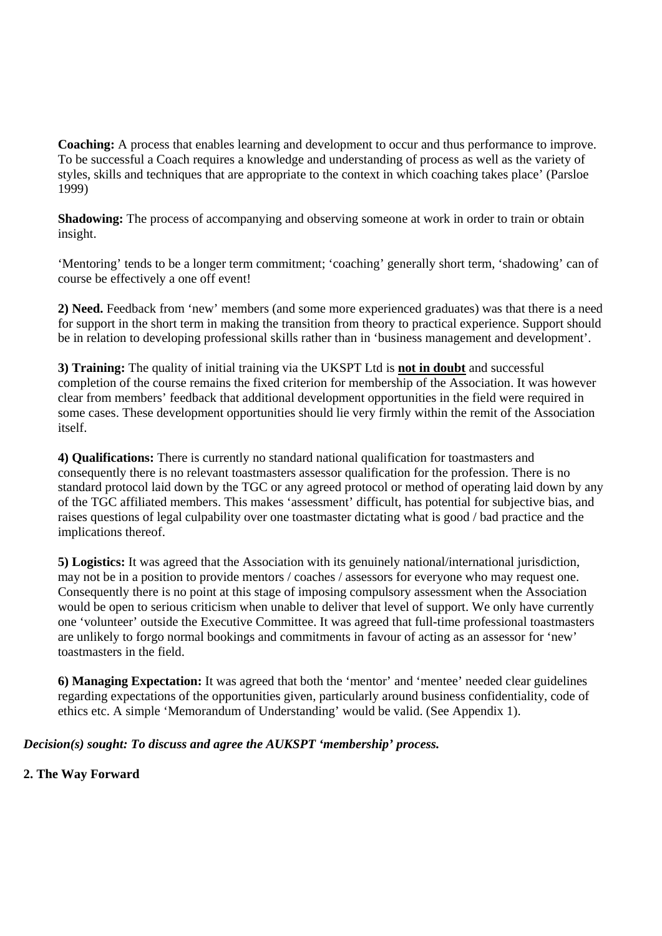**Coaching:** A process that enables learning and development to occur and thus performance to improve. To be successful a Coach requires a knowledge and understanding of process as well as the variety of styles, skills and techniques that are appropriate to the context in which coaching takes place' (Parsloe 1999)

**Shadowing:** The process of accompanying and observing someone at work in order to train or obtain insight.

'Mentoring' tends to be a longer term commitment; 'coaching' generally short term, 'shadowing' can of course be effectively a one off event!

**2) Need.** Feedback from 'new' members (and some more experienced graduates) was that there is a need for support in the short term in making the transition from theory to practical experience. Support should be in relation to developing professional skills rather than in 'business management and development'.

**3) Training:** The quality of initial training via the UKSPT Ltd is **not in doubt** and successful completion of the course remains the fixed criterion for membership of the Association. It was however clear from members' feedback that additional development opportunities in the field were required in some cases. These development opportunities should lie very firmly within the remit of the Association itself.

**4) Qualifications:** There is currently no standard national qualification for toastmasters and consequently there is no relevant toastmasters assessor qualification for the profession. There is no standard protocol laid down by the TGC or any agreed protocol or method of operating laid down by any of the TGC affiliated members. This makes 'assessment' difficult, has potential for subjective bias, and raises questions of legal culpability over one toastmaster dictating what is good / bad practice and the implications thereof.

**5) Logistics:** It was agreed that the Association with its genuinely national/international jurisdiction, may not be in a position to provide mentors / coaches / assessors for everyone who may request one. Consequently there is no point at this stage of imposing compulsory assessment when the Association would be open to serious criticism when unable to deliver that level of support. We only have currently one 'volunteer' outside the Executive Committee. It was agreed that full-time professional toastmasters are unlikely to forgo normal bookings and commitments in favour of acting as an assessor for 'new' toastmasters in the field.

**6) Managing Expectation:** It was agreed that both the 'mentor' and 'mentee' needed clear guidelines regarding expectations of the opportunities given, particularly around business confidentiality, code of ethics etc. A simple 'Memorandum of Understanding' would be valid. (See Appendix 1).

## *Decision(s) sought: To discuss and agree the AUKSPT 'membership' process.*

## **2. The Way Forward**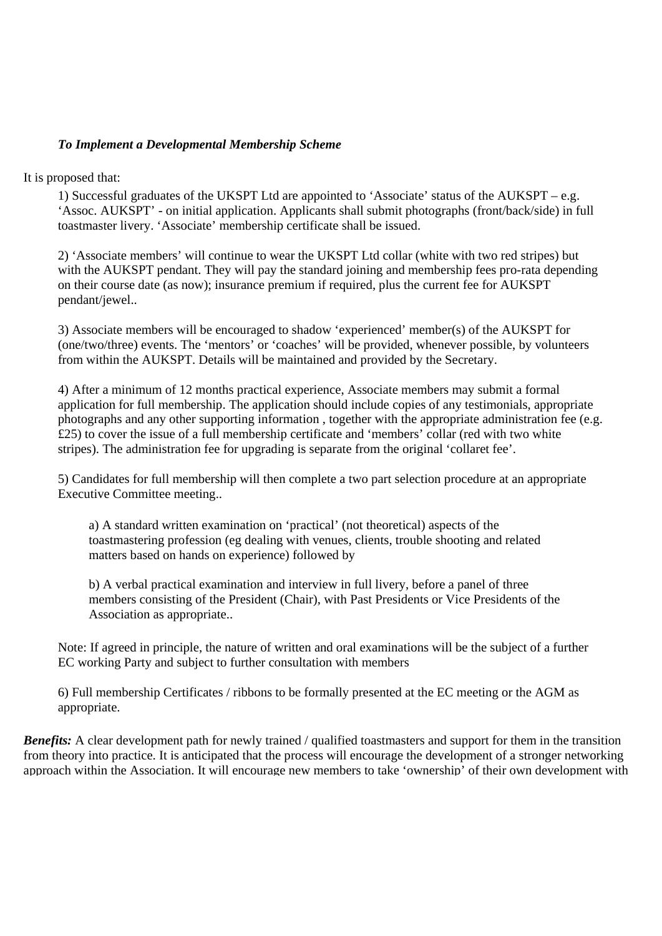## *To Implement a Developmental Membership Scheme*

It is proposed that:

1) Successful graduates of the UKSPT Ltd are appointed to 'Associate' status of the AUKSPT – e.g. 'Assoc. AUKSPT' - on initial application. Applicants shall submit photographs (front/back/side) in full toastmaster livery. 'Associate' membership certificate shall be issued.

2) 'Associate members' will continue to wear the UKSPT Ltd collar (white with two red stripes) but with the AUKSPT pendant. They will pay the standard joining and membership fees pro-rata depending on their course date (as now); insurance premium if required, plus the current fee for AUKSPT pendant/jewel..

3) Associate members will be encouraged to shadow 'experienced' member(s) of the AUKSPT for (one/two/three) events. The 'mentors' or 'coaches' will be provided, whenever possible, by volunteers from within the AUKSPT. Details will be maintained and provided by the Secretary.

4) After a minimum of 12 months practical experience, Associate members may submit a formal application for full membership. The application should include copies of any testimonials, appropriate photographs and any other supporting information , together with the appropriate administration fee (e.g. £25) to cover the issue of a full membership certificate and 'members' collar (red with two white stripes). The administration fee for upgrading is separate from the original 'collaret fee'.

5) Candidates for full membership will then complete a two part selection procedure at an appropriate Executive Committee meeting..

a) A standard written examination on 'practical' (not theoretical) aspects of the toastmastering profession (eg dealing with venues, clients, trouble shooting and related matters based on hands on experience) followed by

b) A verbal practical examination and interview in full livery, before a panel of three members consisting of the President (Chair), with Past Presidents or Vice Presidents of the Association as appropriate..

Note: If agreed in principle, the nature of written and oral examinations will be the subject of a further EC working Party and subject to further consultation with members

6) Full membership Certificates / ribbons to be formally presented at the EC meeting or the AGM as appropriate.

*Benefits:* A clear development path for newly trained / qualified toastmasters and support for them in the transition from theory into practice. It is anticipated that the process will encourage the development of a stronger networking approach within the Association. It will encourage new members to take 'ownership' of their own development with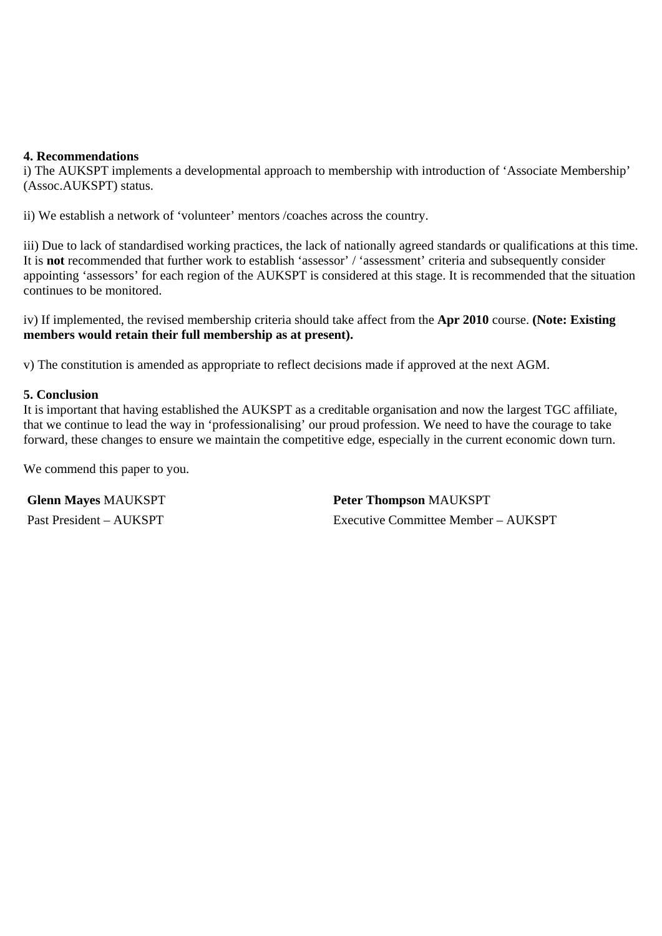## **4. Recommendations**

i) The AUKSPT implements a developmental approach to membership with introduction of 'Associate Membership' (Assoc.AUKSPT) status.

ii) We establish a network of 'volunteer' mentors /coaches across the country.

iii) Due to lack of standardised working practices, the lack of nationally agreed standards or qualifications at this time. It is **not** recommended that further work to establish 'assessor' / 'assessment' criteria and subsequently consider appointing 'assessors' for each region of the AUKSPT is considered at this stage. It is recommended that the situation continues to be monitored.

iv) If implemented, the revised membership criteria should take affect from the **Apr 2010** course. **(Note: Existing members would retain their full membership as at present).**

v) The constitution is amended as appropriate to reflect decisions made if approved at the next AGM.

## **5. Conclusion**

It is important that having established the AUKSPT as a creditable organisation and now the largest TGC affiliate, that we continue to lead the way in 'professionalising' our proud profession. We need to have the courage to take forward, these changes to ensure we maintain the competitive edge, especially in the current economic down turn.

We commend this paper to you.

**Glenn Mayes** MAUKSPT **Peter Thompson** MAUKSPT Past President – AUKSPT Executive Committee Member – AUKSPT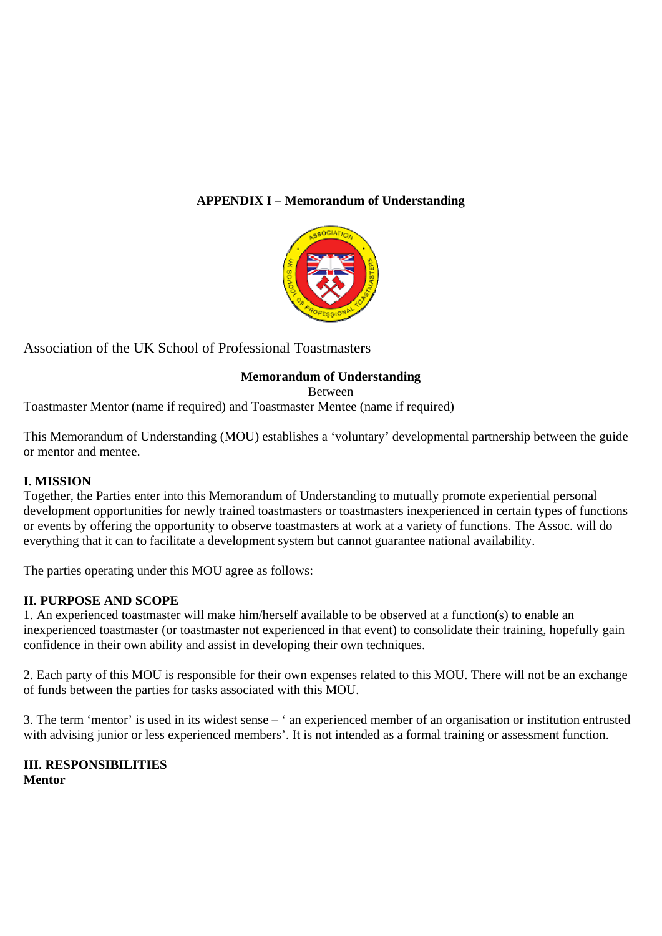## **APPENDIX I – Memorandum of Understanding**



Association of the UK School of Professional Toastmasters

## **Memorandum of Understanding**

Between

Toastmaster Mentor (name if required) and Toastmaster Mentee (name if required)

This Memorandum of Understanding (MOU) establishes a 'voluntary' developmental partnership between the guide or mentor and mentee.

## **I. MISSION**

Together, the Parties enter into this Memorandum of Understanding to mutually promote experiential personal development opportunities for newly trained toastmasters or toastmasters inexperienced in certain types of functions or events by offering the opportunity to observe toastmasters at work at a variety of functions. The Assoc. will do everything that it can to facilitate a development system but cannot guarantee national availability.

The parties operating under this MOU agree as follows:

## **II. PURPOSE AND SCOPE**

1. An experienced toastmaster will make him/herself available to be observed at a function(s) to enable an inexperienced toastmaster (or toastmaster not experienced in that event) to consolidate their training, hopefully gain confidence in their own ability and assist in developing their own techniques.

2. Each party of this MOU is responsible for their own expenses related to this MOU. There will not be an exchange of funds between the parties for tasks associated with this MOU.

3. The term 'mentor' is used in its widest sense – ' an experienced member of an organisation or institution entrusted with advising junior or less experienced members'. It is not intended as a formal training or assessment function.

**III. RESPONSIBILITIES Mentor**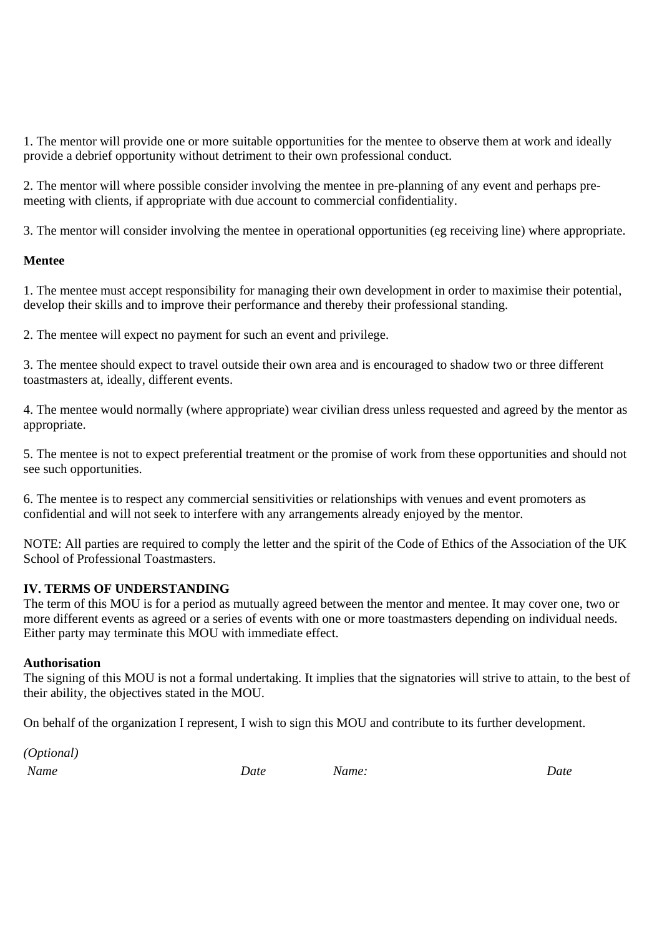1. The mentor will provide one or more suitable opportunities for the mentee to observe them at work and ideally provide a debrief opportunity without detriment to their own professional conduct.

2. The mentor will where possible consider involving the mentee in pre-planning of any event and perhaps premeeting with clients, if appropriate with due account to commercial confidentiality.

3. The mentor will consider involving the mentee in operational opportunities (eg receiving line) where appropriate.

## **Mentee**

1. The mentee must accept responsibility for managing their own development in order to maximise their potential, develop their skills and to improve their performance and thereby their professional standing.

2. The mentee will expect no payment for such an event and privilege.

3. The mentee should expect to travel outside their own area and is encouraged to shadow two or three different toastmasters at, ideally, different events.

4. The mentee would normally (where appropriate) wear civilian dress unless requested and agreed by the mentor as appropriate.

5. The mentee is not to expect preferential treatment or the promise of work from these opportunities and should not see such opportunities.

6. The mentee is to respect any commercial sensitivities or relationships with venues and event promoters as confidential and will not seek to interfere with any arrangements already enjoyed by the mentor.

NOTE: All parties are required to comply the letter and the spirit of the Code of Ethics of the Association of the UK School of Professional Toastmasters.

## **IV. TERMS OF UNDERSTANDING**

The term of this MOU is for a period as mutually agreed between the mentor and mentee. It may cover one, two or more different events as agreed or a series of events with one or more toastmasters depending on individual needs. Either party may terminate this MOU with immediate effect.

## **Authorisation**

The signing of this MOU is not a formal undertaking. It implies that the signatories will strive to attain, to the best of their ability, the objectives stated in the MOU.

On behalf of the organization I represent, I wish to sign this MOU and contribute to its further development.

*(Optional) Name Date Name: Date*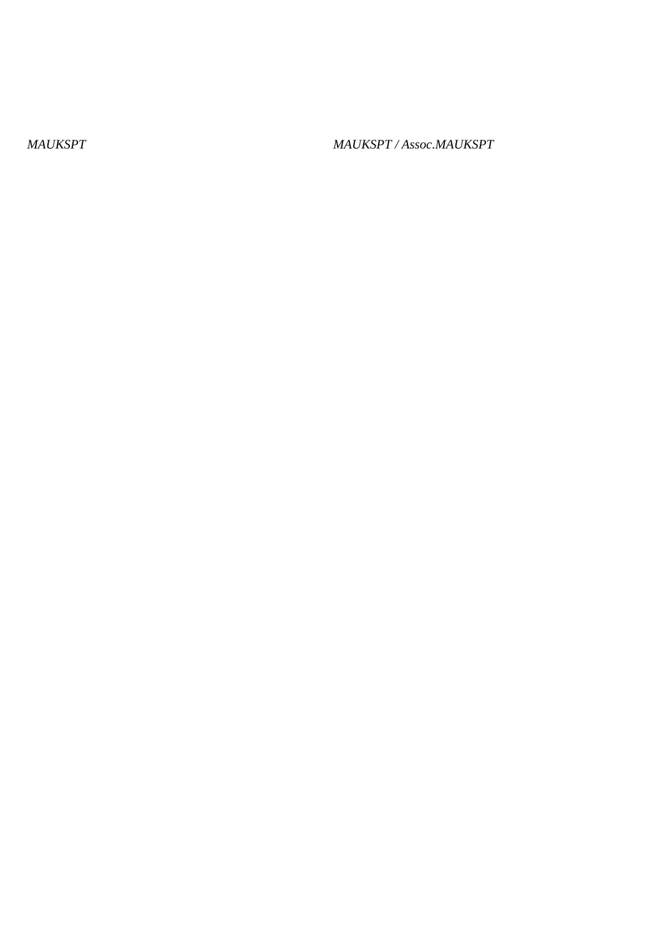*MAUKSPT MAUKSPT / Assoc.MAUKSPT*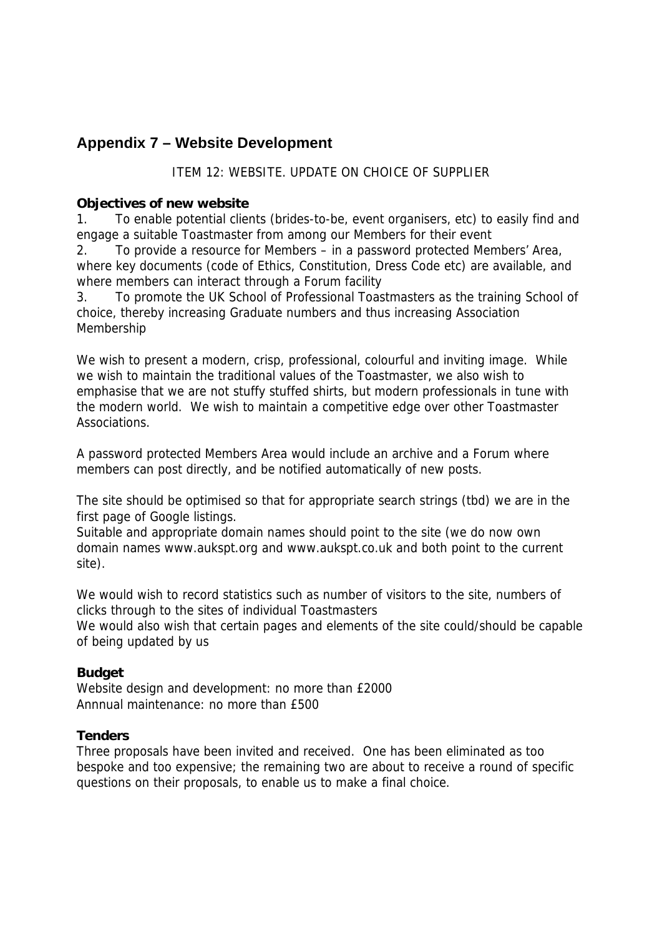# **Appendix 7 – Website Development**

## ITEM 12: WEBSITE. UPDATE ON CHOICE OF SUPPLIER

## **Objectives of new website**

1. To enable potential clients (brides-to-be, event organisers, etc) to easily find and engage a suitable Toastmaster from among our Members for their event

2. To provide a resource for Members – in a password protected Members' Area, where key documents (code of Ethics, Constitution, Dress Code etc) are available, and where members can interact through a Forum facility

3. To promote the UK School of Professional Toastmasters as the training School of choice, thereby increasing Graduate numbers and thus increasing Association Membership

We wish to present a modern, crisp, professional, colourful and inviting image. While we wish to maintain the traditional values of the Toastmaster, we also wish to emphasise that we are not stuffy stuffed shirts, but modern professionals in tune with the modern world. We wish to maintain a competitive edge over other Toastmaster Associations.

A password protected Members Area would include an archive and a Forum where members can post directly, and be notified automatically of new posts.

The site should be optimised so that for appropriate search strings (tbd) we are in the first page of Google listings.

Suitable and appropriate domain names should point to the site (we do now own domain names www.aukspt.org and www.aukspt.co.uk and both point to the current site).

We would wish to record statistics such as number of visitors to the site, numbers of clicks through to the sites of individual Toastmasters We would also wish that certain pages and elements of the site could/should be capable of being updated by us

## **Budget**

Website design and development: no more than £2000 Annnual maintenance: no more than £500

## **Tenders**

Three proposals have been invited and received. One has been eliminated as too bespoke and too expensive; the remaining two are about to receive a round of specific questions on their proposals, to enable us to make a final choice.